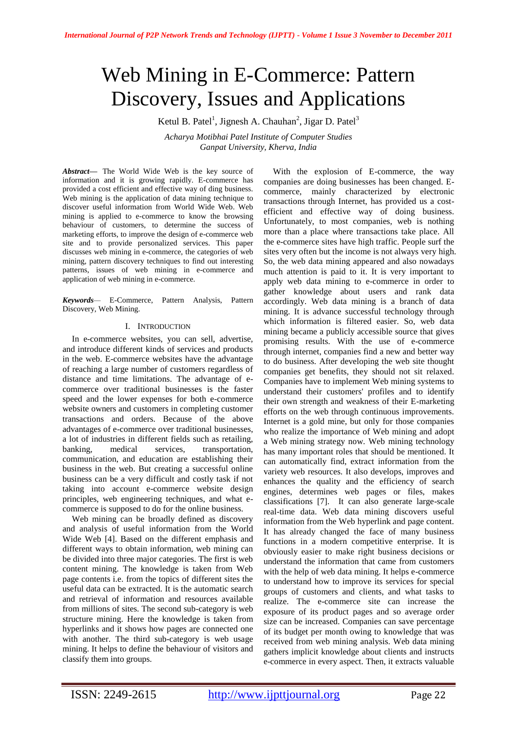# Web Mining in E-Commerce: Pattern Discovery, Issues and Applications

Ketul B. Patel<sup>1</sup>, Jignesh A. Chauhan<sup>2</sup>, Jigar D. Patel<sup>3</sup>

*Acharya Motibhai Patel Institute of Computer Studies Ganpat University, Kherva, India*

*Abstract—* The World Wide Web is the key source of information and it is growing rapidly. E-commerce has provided a cost efficient and effective way of ding business. Web mining is the application of data mining technique to discover useful information from World Wide Web. Web mining is applied to e-commerce to know the browsing behaviour of customers, to determine the success of marketing efforts, to improve the design of e-commerce web site and to provide personalized services. This paper discusses web mining in e-commerce, the categories of web mining, pattern discovery techniques to find out interesting patterns, issues of web mining in e-commerce and application of web mining in e-commerce.

*Keywords—* E-Commerce, Pattern Analysis, Pattern Discovery, Web Mining.

# I. INTRODUCTION

In e-commerce websites, you can sell, advertise, and introduce different kinds of services and products in the web. E-commerce websites have the advantage of reaching a large number of customers regardless of distance and time limitations. The advantage of ecommerce over traditional businesses is the faster speed and the lower expenses for both e-commerce website owners and customers in completing customer transactions and orders. Because of the above advantages of e-commerce over traditional businesses, a lot of industries in different fields such as retailing, banking, medical services, transportation, communication, and education are establishing their business in the web. But creating a successful online business can be a very difficult and costly task if not taking into account e-commerce website design principles, web engineering techniques, and what ecommerce is supposed to do for the online business.

Web mining can be broadly defined as discovery and analysis of useful information from the World Wide Web [4]. Based on the different emphasis and different ways to obtain information, web mining can be divided into three major categories. The first is web content mining. The knowledge is taken from Web page contents i.e. from the topics of different sites the useful data can be extracted. It is the automatic search and retrieval of information and resources available from millions of sites. The second sub-category is web structure mining. Here the knowledge is taken from hyperlinks and it shows how pages are connected one with another. The third sub-category is web usage mining. It helps to define the behaviour of visitors and classify them into groups.

With the explosion of E-commerce, the way companies are doing businesses has been changed. Ecommerce, mainly characterized by electronic transactions through Internet, has provided us a costefficient and effective way of doing business. Unfortunately, to most companies, web is nothing more than a place where transactions take place. All the e-commerce sites have high traffic. People surf the sites very often but the income is not always very high. So, the web data mining appeared and also nowadays much attention is paid to it. It is very important to apply web data mining to e-commerce in order to gather knowledge about users and rank data accordingly. Web data mining is a branch of data mining. It is advance successful technology through which information is filtered easier. So, web data mining became a publicly accessible source that gives promising results. With the use of e-commerce through internet, companies find a new and better way to do business. After developing the web site thought companies get benefits, they should not sit relaxed. Companies have to implement Web mining systems to understand their customers' profiles and to identify their own strength and weakness of their E-marketing efforts on the web through continuous improvements. Internet is a gold mine, but only for those companies who realize the importance of Web mining and adopt a Web mining strategy now. Web mining technology has many important roles that should be mentioned. It can automatically find, extract information from the variety web resources. It also develops, improves and enhances the quality and the efficiency of search engines, determines web pages or files, makes classifications [7]. It can also generate large-scale real-time data. Web data mining discovers useful information from the Web hyperlink and page content. It has already changed the face of many business functions in a modern competitive enterprise. It is obviously easier to make right business decisions or understand the information that came from customers with the help of web data mining. It helps e-commerce to understand how to improve its services for special groups of customers and clients, and what tasks to realize. The e-commerce site can increase the exposure of its product pages and so average order size can be increased. Companies can save percentage of its budget per month owing to knowledge that was received from web mining analysis. Web data mining gathers implicit knowledge about clients and instructs e-commerce in every aspect. Then, it extracts valuable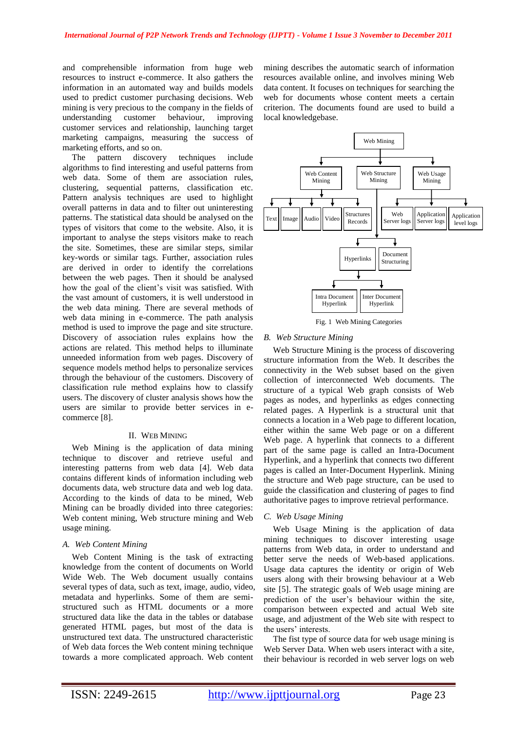and comprehensible information from huge web resources to instruct e-commerce. It also gathers the information in an automated way and builds models used to predict customer purchasing decisions. Web mining is very precious to the company in the fields of understanding customer behaviour, improving customer services and relationship, launching target marketing campaigns, measuring the success of marketing efforts, and so on.

The pattern discovery techniques include algorithms to find interesting and useful patterns from web data. Some of them are association rules, clustering, sequential patterns, classification etc. Pattern analysis techniques are used to highlight overall patterns in data and to filter out uninteresting patterns. The statistical data should be analysed on the types of visitors that come to the website. Also, it is important to analyse the steps visitors make to reach the site. Sometimes, these are similar steps, similar key-words or similar tags. Further, association rules are derived in order to identify the correlations between the web pages. Then it should be analysed how the goal of the client"s visit was satisfied. With the vast amount of customers, it is well understood in the web data mining. There are several methods of web data mining in e-commerce. The path analysis method is used to improve the page and site structure. Discovery of association rules explains how the actions are related. This method helps to illuminate unneeded information from web pages. Discovery of sequence models method helps to personalize services through the behaviour of the customers. Discovery of classification rule method explains how to classify users. The discovery of cluster analysis shows how the users are similar to provide better services in ecommerce [8].

### II. WEB MINING

Web Mining is the application of data mining technique to discover and retrieve useful and interesting patterns from web data [4]. Web data contains different kinds of information including web documents data, web structure data and web log data. According to the kinds of data to be mined, Web Mining can be broadly divided into three categories: Web content mining, Web structure mining and Web usage mining.

#### *A. Web Content Mining*

Web Content Mining is the task of extracting knowledge from the content of documents on World Wide Web. The Web document usually contains several types of data, such as text, image, audio, video, metadata and hyperlinks. Some of them are semistructured such as HTML documents or a more structured data like the data in the tables or database generated HTML pages, but most of the data is unstructured text data. The unstructured characteristic of Web data forces the Web content mining technique towards a more complicated approach. Web content

mining describes the automatic search of information resources available online, and involves mining Web data content. It focuses on techniques for searching the web for documents whose content meets a certain criterion. The documents found are used to build a local knowledgebase.



Fig. 1 Web Mining Categories

# *B. Web Structure Mining*

Web Structure Mining is the process of discovering structure information from the Web. It describes the connectivity in the Web subset based on the given collection of interconnected Web documents. The structure of a typical Web graph consists of Web pages as nodes, and hyperlinks as edges connecting related pages. A Hyperlink is a structural unit that connects a location in a Web page to different location, either within the same Web page or on a different Web page. A hyperlink that connects to a different part of the same page is called an Intra-Document Hyperlink, and a hyperlink that connects two different pages is called an Inter-Document Hyperlink. Mining the structure and Web page structure, can be used to guide the classification and clustering of pages to find authoritative pages to improve retrieval performance.

#### *C. Web Usage Mining*

Web Usage Mining is the application of data mining techniques to discover interesting usage patterns from Web data, in order to understand and better serve the needs of Web-based applications. Usage data captures the identity or origin of Web users along with their browsing behaviour at a Web site [5]. The strategic goals of Web usage mining are prediction of the user"s behaviour within the site, comparison between expected and actual Web site usage, and adjustment of the Web site with respect to the users' interests.

The fist type of source data for web usage mining is Web Server Data. When web users interact with a site, their behaviour is recorded in web server logs on web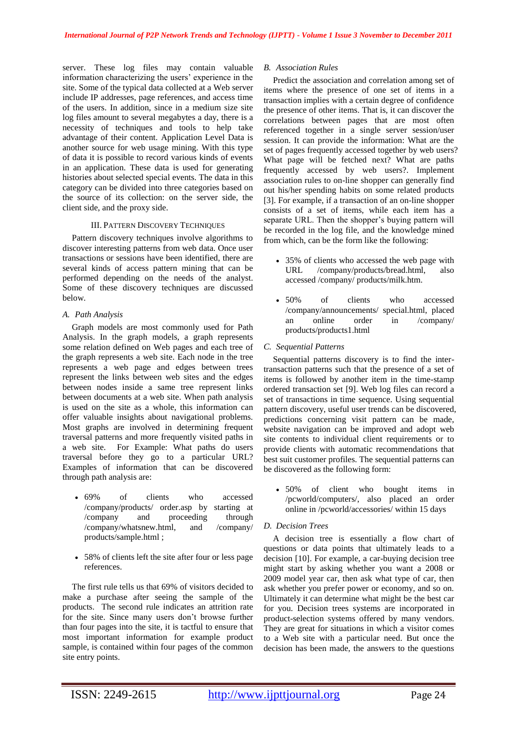server. These log files may contain valuable information characterizing the users' experience in the site. Some of the typical data collected at a Web server include IP addresses, page references, and access time of the users. In addition, since in a medium size site log files amount to several megabytes a day, there is a necessity of techniques and tools to help take advantage of their content. Application Level Data is another source for web usage mining. With this type of data it is possible to record various kinds of events in an application. These data is used for generating histories about selected special events. The data in this category can be divided into three categories based on the source of its collection: on the server side, the client side, and the proxy side.

# III. PATTERN DISCOVERY TECHNIQUES

Pattern discovery techniques involve algorithms to discover interesting patterns from web data. Once user transactions or sessions have been identified, there are several kinds of access pattern mining that can be performed depending on the needs of the analyst. Some of these discovery techniques are discussed below.

# *A. Path Analysis*

Graph models are most commonly used for Path Analysis. In the graph models, a graph represents some relation defined on Web pages and each tree of the graph represents a web site. Each node in the tree represents a web page and edges between trees represent the links between web sites and the edges between nodes inside a same tree represent links between documents at a web site. When path analysis is used on the site as a whole, this information can offer valuable insights about navigational problems. Most graphs are involved in determining frequent traversal patterns and more frequently visited paths in a web site. For Example: What paths do users traversal before they go to a particular URL? Examples of information that can be discovered through path analysis are:

- 69% of clients who accessed /company/products/ order.asp by starting at /company and proceeding through /company/whatsnew.html, and /company/ products/sample.html ;
- 58% of clients left the site after four or less page references.

The first rule tells us that 69% of visitors decided to make a purchase after seeing the sample of the products. The second rule indicates an attrition rate for the site. Since many users don"t browse further than four pages into the site, it is tactful to ensure that most important information for example product sample, is contained within four pages of the common site entry points.

# *B. Association Rules*

Predict the association and correlation among set of items where the presence of one set of items in a transaction implies with a certain degree of confidence the presence of other items. That is, it can discover the correlations between pages that are most often referenced together in a single server session/user session. It can provide the information: What are the set of pages frequently accessed together by web users? What page will be fetched next? What are paths frequently accessed by web users?. Implement association rules to on-line shopper can generally find out his/her spending habits on some related products [3]. For example, if a transaction of an on-line shopper consists of a set of items, while each item has a separate URL. Then the shopper's buying pattern will be recorded in the log file, and the knowledge mined from which, can be the form like the following:

- 35% of clients who accessed the web page with URL /company/products/bread.html, also accessed /company/ products/milk.htm.
- 50% of clients who accessed /company/announcements/ special.html, placed an online order in /company/ products/products1.html
- *C. Sequential Patterns*

Sequential patterns discovery is to find the intertransaction patterns such that the presence of a set of items is followed by another item in the time-stamp ordered transaction set [9]. Web log files can record a set of transactions in time sequence. Using sequential pattern discovery, useful user trends can be discovered, predictions concerning visit pattern can be made, website navigation can be improved and adopt web site contents to individual client requirements or to provide clients with automatic recommendations that best suit customer profiles. The sequential patterns can be discovered as the following form:

 50% of client who bought items in /pcworld/computers/, also placed an order online in /pcworld/accessories/ within 15 days

# *D. Decision Trees*

A decision tree is essentially a flow chart of questions or data points that ultimately leads to a decision [10]. For example, a car-buying decision tree might start by asking whether you want a 2008 or 2009 model year car, then ask what type of car, then ask whether you prefer power or economy, and so on. Ultimately it can determine what might be the best car for you. Decision trees systems are incorporated in product-selection systems offered by many vendors. They are great for situations in which a visitor comes to a Web site with a particular need. But once the decision has been made, the answers to the questions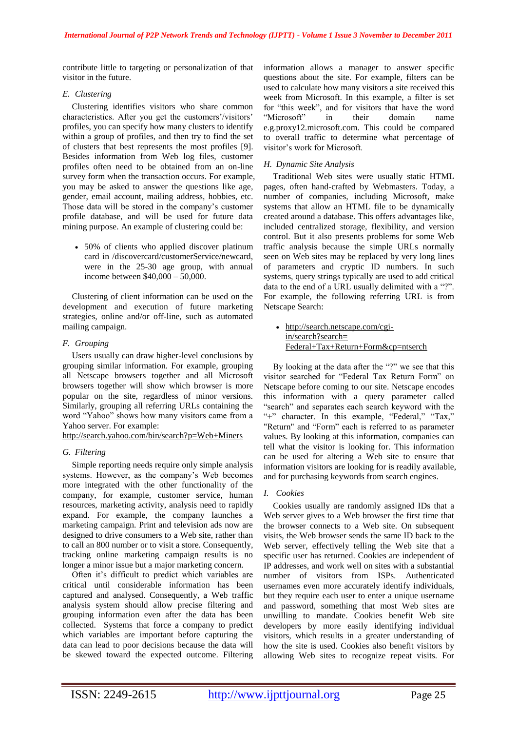contribute little to targeting or personalization of that visitor in the future.

# *E. Clustering*

Clustering identifies visitors who share common characteristics. After you get the customers'/visitors' profiles, you can specify how many clusters to identify within a group of profiles, and then try to find the set of clusters that best represents the most profiles [9]. Besides information from Web log files, customer profiles often need to be obtained from an on-line survey form when the transaction occurs. For example, you may be asked to answer the questions like age, gender, email account, mailing address, hobbies, etc. Those data will be stored in the company's customer profile database, and will be used for future data mining purpose. An example of clustering could be:

• 50% of clients who applied discover platinum card in /discovercard/customerService/newcard, were in the 25-30 age group, with annual income between \$40,000 – 50,000.

Clustering of client information can be used on the development and execution of future marketing strategies, online and/or off-line, such as automated mailing campaign.

# *F. Grouping*

Users usually can draw higher-level conclusions by grouping similar information. For example, grouping all Netscape browsers together and all Microsoft browsers together will show which browser is more popular on the site, regardless of minor versions. Similarly, grouping all referring URLs containing the word "Yahoo" shows how many visitors came from a Yahoo server. For example:

<http://search.yahoo.com/bin/search?p=Web+Miners>

# *G. Filtering*

Simple reporting needs require only simple analysis systems. However, as the company"s Web becomes more integrated with the other functionality of the company, for example, customer service, human resources, marketing activity, analysis need to rapidly expand. For example, the company launches a marketing campaign. Print and television ads now are designed to drive consumers to a Web site, rather than to call an 800 number or to visit a store. Consequently, tracking online marketing campaign results is no longer a minor issue but a major marketing concern.

Often it's difficult to predict which variables are critical until considerable information has been captured and analysed. Consequently, a Web traffic analysis system should allow precise filtering and grouping information even after the data has been collected. Systems that force a company to predict which variables are important before capturing the data can lead to poor decisions because the data will be skewed toward the expected outcome. Filtering information allows a manager to answer specific questions about the site. For example, filters can be used to calculate how many visitors a site received this week from Microsoft. In this example, a filter is set for "this week", and for visitors that have the word "Microsoft" in their domain name e.g.proxy12.microsoft.com. This could be compared to overall traffic to determine what percentage of visitor"s work for Microsoft.

# *H. Dynamic Site Analysis*

Traditional Web sites were usually static HTML pages, often hand-crafted by Webmasters. Today, a number of companies, including Microsoft, make systems that allow an HTML file to be dynamically created around a database. This offers advantages like, included centralized storage, flexibility, and version control. But it also presents problems for some Web traffic analysis because the simple URLs normally seen on Web sites may be replaced by very long lines of parameters and cryptic ID numbers. In such systems, query strings typically are used to add critical data to the end of a URL usually delimited with a "?". For example, the following referring URL is from Netscape Search:

• [http://search.netscape.com/cgi](http://search.netscape.com/cgi-in/search?search=%20Federal+Tax+Return+Form&cp=ntserch)[in/search?search=](http://search.netscape.com/cgi-in/search?search=%20Federal+Tax+Return+Form&cp=ntserch)  [Federal+Tax+Return+Form&cp=ntserch](http://search.netscape.com/cgi-in/search?search=%20Federal+Tax+Return+Form&cp=ntserch)

By looking at the data after the "?" we see that this visitor searched for "Federal Tax Return Form" on Netscape before coming to our site. Netscape encodes this information with a query parameter called "search" and separates each search keyword with the "+" character. In this example, "Federal," "Tax," "Return" and "Form" each is referred to as parameter values. By looking at this information, companies can tell what the visitor is looking for. This information can be used for altering a Web site to ensure that information visitors are looking for is readily available, and for purchasing keywords from search engines.

# *I. Cookies*

Cookies usually are randomly assigned IDs that a Web server gives to a Web browser the first time that the browser connects to a Web site. On subsequent visits, the Web browser sends the same ID back to the Web server, effectively telling the Web site that a specific user has returned. Cookies are independent of IP addresses, and work well on sites with a substantial number of visitors from ISPs. Authenticated usernames even more accurately identify individuals, but they require each user to enter a unique username and password, something that most Web sites are unwilling to mandate. Cookies benefit Web site developers by more easily identifying individual visitors, which results in a greater understanding of how the site is used. Cookies also benefit visitors by allowing Web sites to recognize repeat visits. For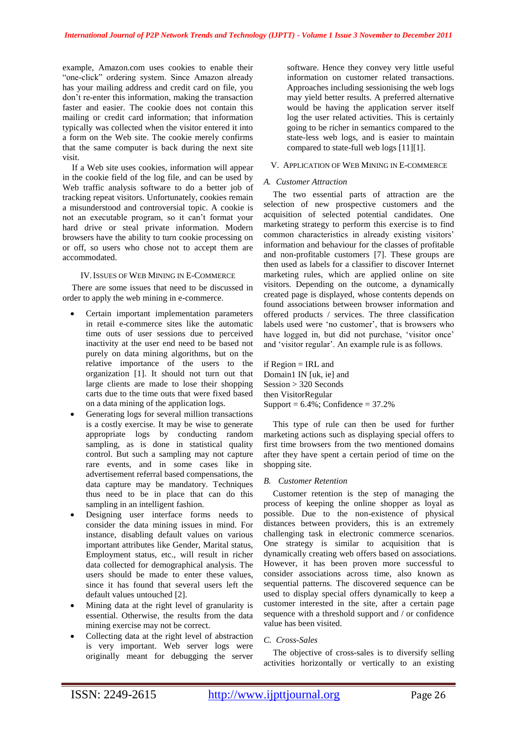example, Amazon.com uses cookies to enable their "one-click" ordering system. Since Amazon already has your mailing address and credit card on file, you don"t re-enter this information, making the transaction faster and easier. The cookie does not contain this mailing or credit card information; that information typically was collected when the visitor entered it into a form on the Web site. The cookie merely confirms that the same computer is back during the next site visit.

If a Web site uses cookies, information will appear in the cookie field of the log file, and can be used by Web traffic analysis software to do a better job of tracking repeat visitors. Unfortunately, cookies remain a misunderstood and controversial topic. A cookie is not an executable program, so it can"t format your hard drive or steal private information. Modern browsers have the ability to turn cookie processing on or off, so users who chose not to accept them are accommodated.

#### IV.ISSUES OF WEB MINING IN E-COMMERCE

There are some issues that need to be discussed in order to apply the web mining in e-commerce.

- Certain important implementation parameters in retail e-commerce sites like the automatic time outs of user sessions due to perceived inactivity at the user end need to be based not purely on data mining algorithms, but on the relative importance of the users to the organization [1]. It should not turn out that large clients are made to lose their shopping carts due to the time outs that were fixed based on a data mining of the application logs.
- Generating logs for several million transactions is a costly exercise. It may be wise to generate appropriate logs by conducting random sampling, as is done in statistical quality control. But such a sampling may not capture rare events, and in some cases like in advertisement referral based compensations, the data capture may be mandatory. Techniques thus need to be in place that can do this sampling in an intelligent fashion.
- Designing user interface forms needs to consider the data mining issues in mind. For instance, disabling default values on various important attributes like Gender, Marital status, Employment status, etc., will result in richer data collected for demographical analysis. The users should be made to enter these values, since it has found that several users left the default values untouched [2].
- Mining data at the right level of granularity is essential. Otherwise, the results from the data mining exercise may not be correct.
- Collecting data at the right level of abstraction is very important. Web server logs were originally meant for debugging the server

software. Hence they convey very little useful information on customer related transactions. Approaches including sessionising the web logs may yield better results. A preferred alternative would be having the application server itself log the user related activities. This is certainly going to be richer in semantics compared to the state-less web logs, and is easier to maintain compared to state-full web logs [11][1].

## V. APPLICATION OF WEB MINING IN E-COMMERCE

#### *A. Customer Attraction*

The two essential parts of attraction are the selection of new prospective customers and the acquisition of selected potential candidates. One marketing strategy to perform this exercise is to find common characteristics in already existing visitors' information and behaviour for the classes of profitable and non-profitable customers [7]. These groups are then used as labels for a classifier to discover Internet marketing rules, which are applied online on site visitors. Depending on the outcome, a dynamically created page is displayed, whose contents depends on found associations between browser information and offered products / services. The three classification labels used were 'no customer', that is browsers who have logged in, but did not purchase, 'visitor once' and "visitor regular". An example rule is as follows.

if Region = IRL and Domain1 IN [uk, ie] and Session > 320 Seconds then VisitorRegular Support =  $6.4\%$ ; Confidence =  $37.2\%$ 

This type of rule can then be used for further marketing actions such as displaying special offers to first time browsers from the two mentioned domains after they have spent a certain period of time on the shopping site.

## *B. Customer Retention*

Customer retention is the step of managing the process of keeping the online shopper as loyal as possible. Due to the non-existence of physical distances between providers, this is an extremely challenging task in electronic commerce scenarios. One strategy is similar to acquisition that is dynamically creating web offers based on associations. However, it has been proven more successful to consider associations across time, also known as sequential patterns. The discovered sequence can be used to display special offers dynamically to keep a customer interested in the site, after a certain page sequence with a threshold support and / or confidence value has been visited.

# *C. Cross-Sales*

The objective of cross-sales is to diversify selling activities horizontally or vertically to an existing